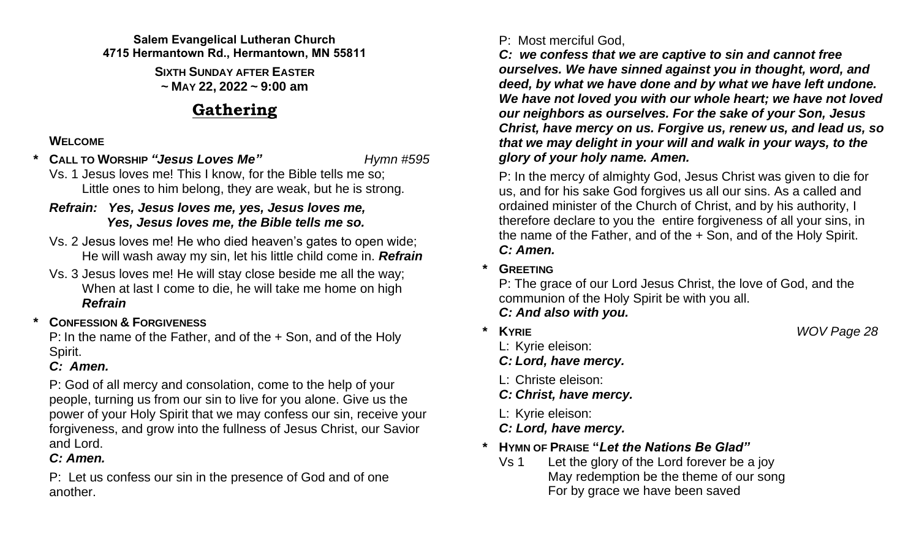#### **Salem Evangelical Lutheran Church 4715 Hermantown Rd., Hermantown, MN 55811**

**SIXTH SUNDAY AFTER EASTER ~ MAY 22, 2022 ~ 9:00 am**

## **Gathering**

## **WELCOME**

*\** **CALL TO WORSHIP** *"Jesus Loves Me" Hymn #595*

Vs. 1 Jesus loves me! This I know, for the Bible tells me so; Little ones to him belong, they are weak, but he is strong.

## *Refrain: Yes, Jesus loves me, yes, Jesus loves me, Yes, Jesus loves me, the Bible tells me so.*

- Vs. 2 Jesus loves me! He who died heaven's gates to open wide; He will wash away my sin, let his little child come in. *Refrain*
- Vs. 3 Jesus loves me! He will stay close beside me all the way; When at last I come to die, he will take me home on high *Refrain*

## *\** **CONFESSION & FORGIVENESS**

P: In the name of the Father, and of the + Son, and of the Holy Spirit.

## *C: Amen.*

P: God of all mercy and consolation, come to the help of your people, turning us from our sin to live for you alone. Give us the power of your Holy Spirit that we may confess our sin, receive your forgiveness, and grow into the fullness of Jesus Christ, our Savior and Lord.

## *C: Amen.*

P: Let us confess our sin in the presence of God and of one another.

## P: Most merciful God,

*C: we confess that we are captive to sin and cannot free ourselves. We have sinned against you in thought, word, and deed, by what we have done and by what we have left undone. We have not loved you with our whole heart; we have not loved our neighbors as ourselves. For the sake of your Son, Jesus Christ, have mercy on us. Forgive us, renew us, and lead us, so that we may delight in your will and walk in your ways, to the glory of your holy name. Amen.*

P: In the mercy of almighty God, Jesus Christ was given to die for us, and for his sake God forgives us all our sins. As a called and ordained minister of the Church of Christ, and by his authority, I therefore declare to you the entire forgiveness of all your sins, in the name of the Father, and of the + Son, and of the Holy Spirit. *C: Amen.*

**\* GREETING**

P: The grace of our Lord Jesus Christ, the love of God, and the communion of the Holy Spirit be with you all. *C: And also with you.*

- **\* KYRIE** *WOV Page 28*
	- L: Kyrie eleison:
	- *C: Lord, have mercy.*
	- L: Christe eleison:
	- *C: Christ, have mercy.*
	- L: Kyrie eleison:

## *C: Lord, have mercy.*

- **\* HYMN OF PRAISE "***Let the Nations Be Glad"*
	- Vs 1 Let the glory of the Lord forever be a joy May redemption be the theme of our song For by grace we have been saved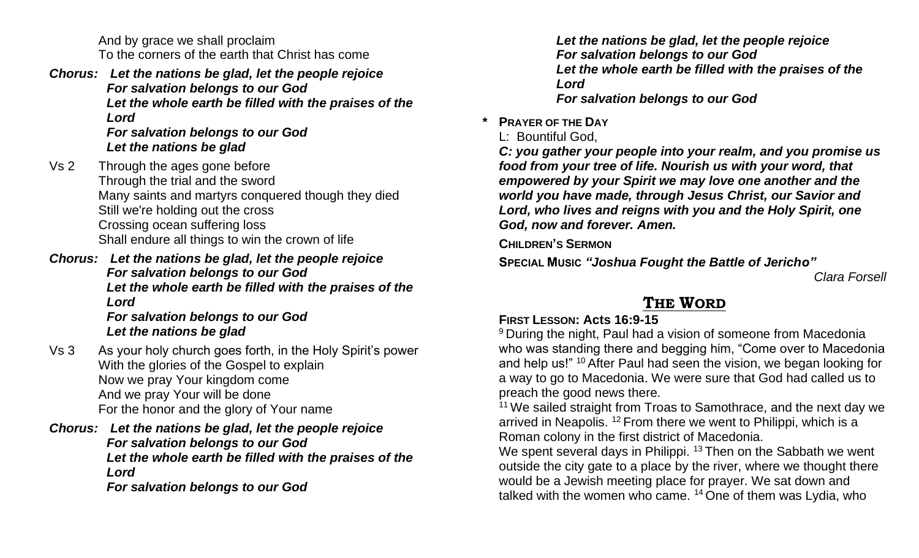And by grace we shall proclaim To the corners of the earth that Christ has come

*Chorus: Let the nations be glad, let the people rejoice For salvation belongs to our God Let the whole earth be filled with the praises of the Lord For salvation belongs to our God*

*Let the nations be glad*

- Vs 2 Through the ages gone before Through the trial and the sword Many saints and martyrs conquered though they died Still we're holding out the cross Crossing ocean suffering loss Shall endure all things to win the crown of life
- *Chorus: Let the nations be glad, let the people rejoice For salvation belongs to our God Let the whole earth be filled with the praises of the Lord*

*For salvation belongs to our God Let the nations be glad*

- Vs 3 As your holy church goes forth, in the Holy Spirit's power With the glories of the Gospel to explain Now we pray Your kingdom come And we pray Your will be done For the honor and the glory of Your name
- *Chorus: Let the nations be glad, let the people rejoice For salvation belongs to our God Let the whole earth be filled with the praises of the Lord*

*For salvation belongs to our God*

*Let the nations be glad, let the people rejoice For salvation belongs to our God Let the whole earth be filled with the praises of the Lord For salvation belongs to our God*

## **\* PRAYER OF THE DAY**

L: Bountiful God,

*C: you gather your people into your realm, and you promise us food from your tree of life. Nourish us with your word, that empowered by your Spirit we may love one another and the world you have made, through Jesus Christ, our Savior and Lord, who lives and reigns with you and the Holy Spirit, one God, now and forever. Amen.*

**CHILDREN'S SERMON**

**SPECIAL MUSIC** *"Joshua Fought the Battle of Jericho"* 

*Clara Forsell*

## **THE WORD**

## **FIRST LESSON: Acts 16:9-15**

<sup>9</sup> During the night, Paul had a vision of someone from Macedonia who was standing there and begging him, "Come over to Macedonia and help us!" <sup>10</sup> After Paul had seen the vision, we began looking for a way to go to Macedonia. We were sure that God had called us to preach the good news there.

<sup>11</sup> We sailed straight from Troas to Samothrace, and the next day we arrived in Neapolis. <sup>12</sup> From there we went to Philippi, which is a Roman colony in the first district of Macedonia.

We spent several days in Philippi. <sup>13</sup> Then on the Sabbath we went outside the city gate to a place by the river, where we thought there would be a Jewish meeting place for prayer. We sat down and talked with the women who came. <sup>14</sup> One of them was Lydia, who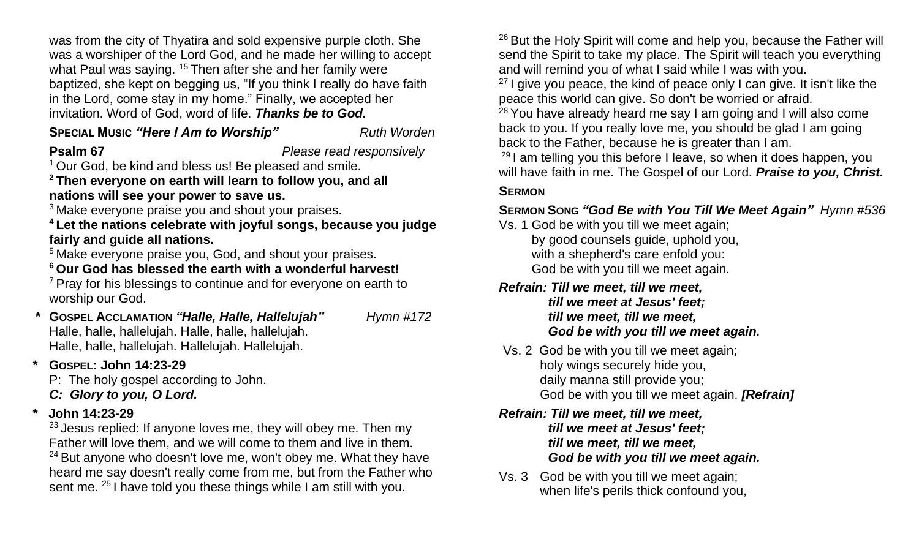was from the city of Thyatira and sold expensive purple cloth. She was a worshiper of the Lord God, and he made her willing to accept what Paul was saying. <sup>15</sup> Then after she and her family were baptized, she kept on begging us, "If you think I really do have faith in the Lord, come stay in my home." Finally, we accepted her invitation. Word of God, word of life. *Thanks be to God.*

## **SPECIAL MUSIC "Here I Am to Worship" Ruth Worden**

**Psalm 67** *Please read responsively*

<sup>1</sup> Our God, be kind and bless us! Be pleased and smile.

**<sup>2</sup> Then everyone on earth will learn to follow you, and all nations will see your power to save us.**

<sup>3</sup> Make everyone praise you and shout your praises.

**<sup>4</sup> Let the nations celebrate with joyful songs, because you judge fairly and guide all nations.**

<sup>5</sup> Make everyone praise you, God, and shout your praises.

**<sup>6</sup> Our God has blessed the earth with a wonderful harvest!**

<sup>7</sup> Pray for his blessings to continue and for everyone on earth to worship our God.

- **\* GOSPEL ACCLAMATION** *"Halle, Halle, Hallelujah" Hymn #172* Halle, halle, hallelujah. Halle, halle, hallelujah. Halle, halle, hallelujah. Hallelujah. Hallelujah.
- **\* GOSPEL: John 14:23-29**

P: The holy gospel according to John.

- *C: Glory to you, O Lord.*
- **\* John 14:23-29**

 $23$  Jesus replied: If anyone loves me, they will obey me. Then my Father will love them, and we will come to them and live in them.  $24$  But anyone who doesn't love me, won't obey me. What they have heard me say doesn't really come from me, but from the Father who sent me. <sup>25</sup> I have told you these things while I am still with you.

 $26$  But the Holy Spirit will come and help you, because the Father will send the Spirit to take my place. The Spirit will teach you everything and will remind you of what I said while I was with you.

 $27$  I give you peace, the kind of peace only I can give. It isn't like the peace this world can give. So don't be worried or afraid.

 $28$  You have already heard me say I am going and I will also come back to you. If you really love me, you should be glad I am going back to the Father, because he is greater than I am.

 $29$  I am telling you this before I leave, so when it does happen, you will have faith in me. The Gospel of our Lord. *Praise to you, Christ.*

### **SERMON**

## **SERMON SONG** *"God Be with You Till We Meet Again" Hymn #536*

Vs. 1 God be with you till we meet again;

by good counsels guide, uphold you, with a shepherd's care enfold you: God be with you till we meet again.

## *Refrain: Till we meet, till we meet,*

*till we meet at Jesus' feet; till we meet, till we meet, God be with you till we meet again.*

Vs. 2 God be with you till we meet again; holy wings securely hide you, daily manna still provide you; God be with you till we meet again. *[Refrain]*

*Refrain: Till we meet, till we meet, till we meet at Jesus' feet; till we meet, till we meet, God be with you till we meet again.* 

Vs. 3 God be with you till we meet again; when life's perils thick confound you,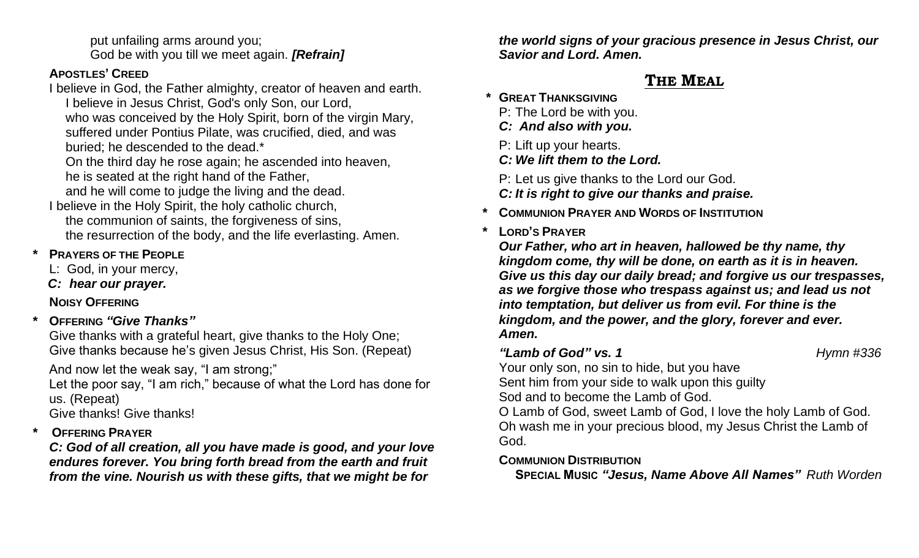put unfailing arms around you; God be with you till we meet again. *[Refrain]*

## **APOSTLES' CREED**

I believe in God, the Father almighty, creator of heaven and earth. I believe in Jesus Christ, God's only Son, our Lord, who was conceived by the Holy Spirit, born of the virgin Mary, suffered under Pontius Pilate, was crucified, died, and was

buried; he descended to the dead.\*

On the third day he rose again; he ascended into heaven,

he is seated at the right hand of the Father,

and he will come to judge the living and the dead.

I believe in the Holy Spirit, the holy catholic church, the communion of saints, the forgiveness of sins, the resurrection of the body, and the life everlasting. Amen.

## **PRAYERS OF THE PEOPLE**

- L: God, in your mercy,
- *C: hear our prayer.*

## **NOISY OFFERING**

**\* OFFERING** *"Give Thanks"*

Give thanks with a grateful heart, give thanks to the Holy One; Give thanks because he's given Jesus Christ, His Son. (Repeat)

And now let the weak say, "I am strong;"

Let the poor say, "I am rich," because of what the Lord has done for us. (Repeat)

Give thanks! Give thanks!

## **\* OFFERING PRAYER**

*C: God of all creation, all you have made is good, and your love endures forever. You bring forth bread from the earth and fruit from the vine. Nourish us with these gifts, that we might be for* 

*the world signs of your gracious presence in Jesus Christ, our Savior and Lord. Amen.*

## **THE MEAL**

- **\* GREAT THANKSGIVING** 
	- P: The Lord be with you.
	- *C: And also with you.*
	- P: Lift up your hearts.
	- *C: We lift them to the Lord.*
	- P: Let us give thanks to the Lord our God.
	- *C: It is right to give our thanks and praise.*
- **\* COMMUNION PRAYER AND WORDS OF INSTITUTION**
- **\* LORD'S PRAYER**

*Our Father, who art in heaven, hallowed be thy name, thy kingdom come, thy will be done, on earth as it is in heaven. Give us this day our daily bread; and forgive us our trespasses, as we forgive those who trespass against us; and lead us not into temptation, but deliver us from evil. For thine is the kingdom, and the power, and the glory, forever and ever. Amen.*

## *"Lamb of God" vs. 1 Hymn #336*

Your only son, no sin to hide, but you have Sent him from your side to walk upon this guilty

Sod and to become the Lamb of God.

O Lamb of God, sweet Lamb of God, I love the holy Lamb of God. Oh wash me in your precious blood, my Jesus Christ the Lamb of God.

## **COMMUNION DISTRIBUTION**

**SPECIAL MUSIC** *"Jesus, Name Above All Names" Ruth Worden*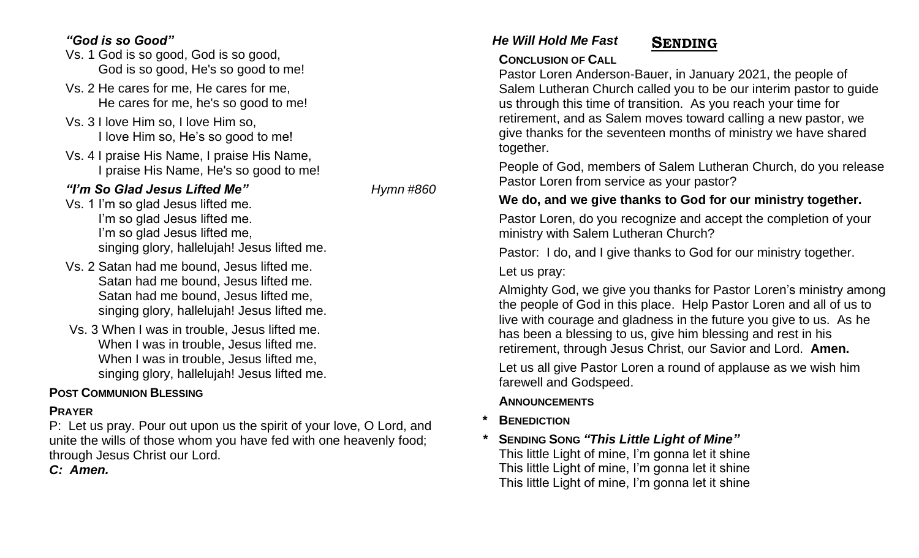## *"God is so Good" He Will Hold Me Fast*

- Vs. 1 God is so good, God is so good, God is so good, He's so good to me!
- Vs. 2 He cares for me, He cares for me, He cares for me, he's so good to me!
- Vs. 3 I love Him so, I love Him so, I love Him so, He's so good to me!
- Vs. 4 I praise His Name, I praise His Name, I praise His Name, He's so good to me!

## *"I'm So Glad Jesus Lifted Me"**Hymn #860*

- Vs. 1 I'm so glad Jesus lifted me. I'm so glad Jesus lifted me. I'm so glad Jesus lifted me, singing glory, hallelujah! Jesus lifted me.
- Vs. 2 Satan had me bound, Jesus lifted me. Satan had me bound, Jesus lifted me. Satan had me bound, Jesus lifted me, singing glory, hallelujah! Jesus lifted me.
- Vs. 3 When I was in trouble, Jesus lifted me. When I was in trouble, Jesus lifted me. When I was in trouble, Jesus lifted me, singing glory, hallelujah! Jesus lifted me.

## **POST COMMUNION BLESSING**

## **PRAYER**

P:Let us pray. Pour out upon us the spirit of your love, O Lord, and unite the wills of those whom you have fed with one heavenly food; through Jesus Christ our Lord.

*C: Amen.*

## **SENDING**

## **CONCLUSION OF CALL**

Pastor Loren Anderson-Bauer, in January 2021, the people of Salem Lutheran Church called you to be our interim pastor to guide us through this time of transition. As you reach your time for retirement, and as Salem moves toward calling a new pastor, we give thanks for the seventeen months of ministry we have shared together.

People of God, members of Salem Lutheran Church, do you release Pastor Loren from service as your pastor?

## **We do, and we give thanks to God for our ministry together.**

Pastor Loren, do you recognize and accept the completion of your ministry with Salem Lutheran Church?

Pastor: I do, and I give thanks to God for our ministry together. Let us pray:

Almighty God, we give you thanks for Pastor Loren's ministry among the people of God in this place. Help Pastor Loren and all of us to live with courage and gladness in the future you give to us. As he has been a blessing to us, give him blessing and rest in his retirement, through Jesus Christ, our Savior and Lord. **Amen.**

Let us all give Pastor Loren a round of applause as we wish him farewell and Godspeed.

## **ANNOUNCEMENTS**

- **\* BENEDICTION**
- *\** **SENDING SONG** *"This Little Light of Mine"* This little Light of mine, I'm gonna let it shine This little Light of mine, I'm gonna let it shine This little Light of mine, I'm gonna let it shine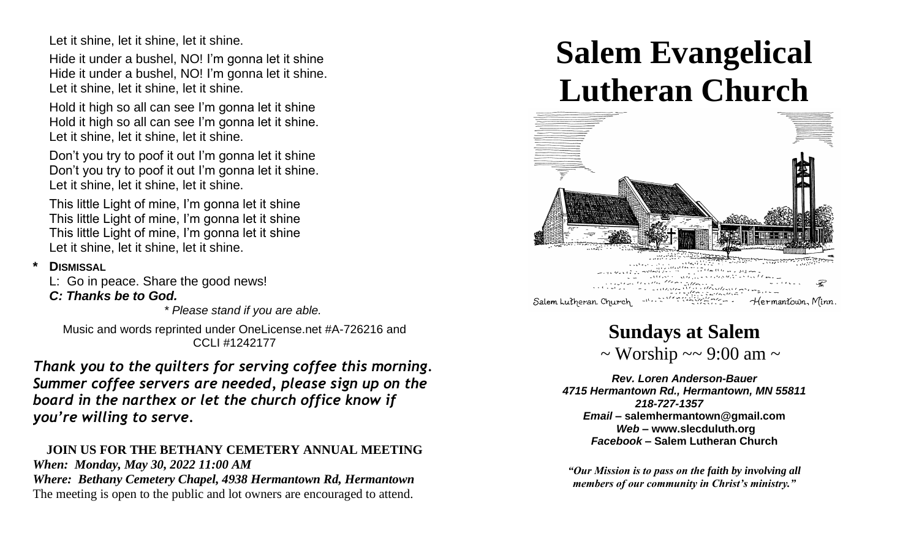Let it shine, let it shine, let it shine.

Hide it under a bushel, NO! I'm gonna let it shine Hide it under a bushel, NO! I'm gonna let it shine. Let it shine, let it shine, let it shine.

Hold it high so all can see I'm gonna let it shine Hold it high so all can see I'm gonna let it shine. Let it shine, let it shine, let it shine.

Don't you try to poof it out I'm gonna let it shine Don't you try to poof it out I'm gonna let it shine. Let it shine, let it shine, let it shine.

This little Light of mine, I'm gonna let it shine This little Light of mine, I'm gonna let it shine This little Light of mine, I'm gonna let it shine Let it shine, let it shine, let it shine.

### **\* DISMISSAL**

L: Go in peace. Share the good news!

## *C: Thanks be to God.*

*\* Please stand if you are able.*

Music and words reprinted under OneLicense.net #A-726216 and CCLI #1242177

*Thank you to the quilters for serving coffee this morning. Summer coffee servers are needed, please sign up on the board in the narthex or let the church office know if you're willing to serve.*

### **JOIN US FOR THE BETHANY CEMETERY ANNUAL MEETING** *When: Monday, May 30, 2022 11:00 AM Where: Bethany Cemetery Chapel, 4938 Hermantown Rd, Hermantown*

The meeting is open to the public and lot owners are encouraged to attend.

# **Salem Evangelical Lutheran Church**



## **Sundays at Salem**

 $\sim$  Worship  $\sim$  9:00 am  $\sim$ 

*Rev. Loren Anderson-Bauer 4715 Hermantown Rd., Hermantown, MN 55811 218-727-1357 Email –* **[salemhermantown@gmail.com](mailto:salemhermantown@gmail.com)** *Web –* **[www.slecduluth.org](http://www.slecduluth.org/)** *Facebook* **– Salem Lutheran Church**

*"Our Mission is to pass on the faith by involving all members of our community in Christ's ministry."*